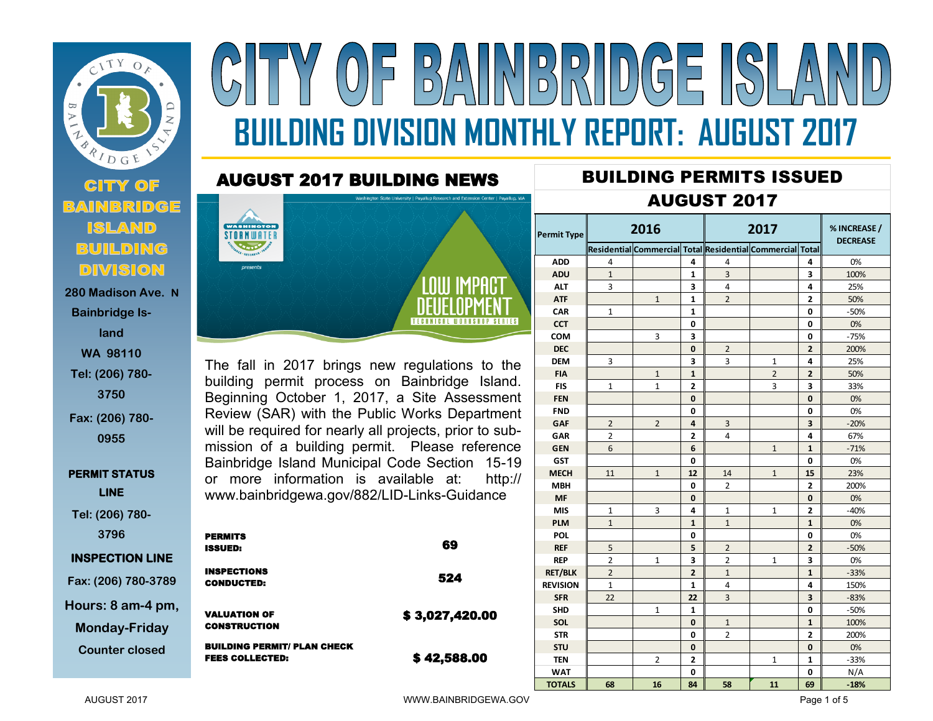

**Bainbridge Island WA 98110 Tel: (206) 780- 3750 Fax: (206) 780-**

**0955**

**PERMIT STATUS LINE** 

**Tel: (206) 780- 3796**

## **INSPECTION LINE**

**Fax: (206) 780-3789 Hours: 8 am-4 pm, Monday-Friday**

**Counter closed** 



## AUGUST 2017 BUILDING NEWS



The fall in 2017 brings new regulations to the building permit process on Bainbridge Island. Beginning October 1, 2017, a Site Assessment Review (SAR) with the Public Works Department will be required for nearly all projects, prior to submission of a building permit. Please reference Bainbridge Island Municipal Code Section 15-19 or more information is available at: http:// www.bainbridgewa.gov/882/LID-Links-Guidance

|   | <b>PERMITS</b><br><b>ISSUED:</b>                             | 69             |
|---|--------------------------------------------------------------|----------------|
|   | <b>INSPECTIONS</b><br><b>CONDUCTED:</b>                      | 524            |
| 9 | <b>VALUATION OF</b><br><b>CONSTRUCTION</b>                   | \$3,027,420.00 |
|   | <b>BUILDING PERMIT/ PLAN CHECK</b><br><b>FEES COLLECTED:</b> | \$42,588.00    |

## **Residential Commercial Total Residential Commercial Total ADD** 4 **4** 4 **4** 0% **ADU** 1 **1** 3 **3** 100% **ALT** 3 **3** 4 **4** 25% **ATF** 1 **1** 2 **2** 50% **CAR** 1 **1 0** -50% **CCT 0 0** 0% **COM** | 3 | 3 | 1 | 0 | -75% **DEC 0** 2 **2** 200% **CCT**<br> **DEC**<br> **DEM** 3 3 3 3 1 4 25%<br> **FIA** 1 1 3 2 2 50% **FIA** 1 **1** 2 **2** 50% **FIA**<br> **FIA**<br> **FIA**<br> **FIS**<br> **FIS**<br> **FIS**<br> **FIS**<br> **FIS**<br> **FIS**<br> **FIS**<br> **FIS**<br> **FIS**<br> **FIS**<br> **FIS**<br> **FIS**<br> **FIS**<br> **FIS**<br> **FIS**<br> **FIS**<br> **FIS**<br> **FIS**<br> **FIS**<br> **FIS**<br> **FIS**<br> **FIS FEN 0 0** 0% **FND 0 0** 0% **FEN**<br> **GAF** 2 2 4 3 3 -20%<br> **GAR** 2 2 4 3 3 -20%<br> **GAR** 2 2 4 3 3 -20% **GAR** 2 **2** 4 **4** 67% **GEN** 6 6 6 6 1 1 1 -71% **GST 0 0** 0% **MECH** 11 1 12 14 14 15 23% **MBH 1 1 0 2 2 200% MF 0 0** 0% **MBH**<br> **MIS** 1 3 4 1 1 2 -40%<br> **MIS** 1 3 4 1 1 2 -40%<br> **PLM** 1 1 1 1 0% **PLM** 1 **1** 1 **1** 0% **POL 0 0** 0% **REF** | 5 | | | 5 || 2 || | 2 || || -50% **POL<br>
POL<br>
REP** 2 1 3 2 1 3 0%<br> **REP** 2 1 3 2 1 3 0%<br> **REP** 2 1 3 2 1 3 0% **RET/BLK** 2 **2** 1 **1** -33% **REVISION** 1 **1** 4 **4** 150% **SFR** 22 | 22 | 3 | 3 | -83% **SHD** 1 **1 0** -50% **SOL 0** 1 **1** 100% **STR 0** 2 **2** 200% **STU 0 0** 0% **TEN** 2 **2** 1 **1** -33% **WAT 0 0** N/A **TEN** 2 2 1 1 1 -33%<br> **TOTALS** 68 16 84 58 11 69 -18%<br> **TOTALS** 68 16 84 58 11 69 -18% **2017** AUGUST 2017 **Permit Type % INCREASE / DECREASE 2016**

BUILDING PERMITS ISSUED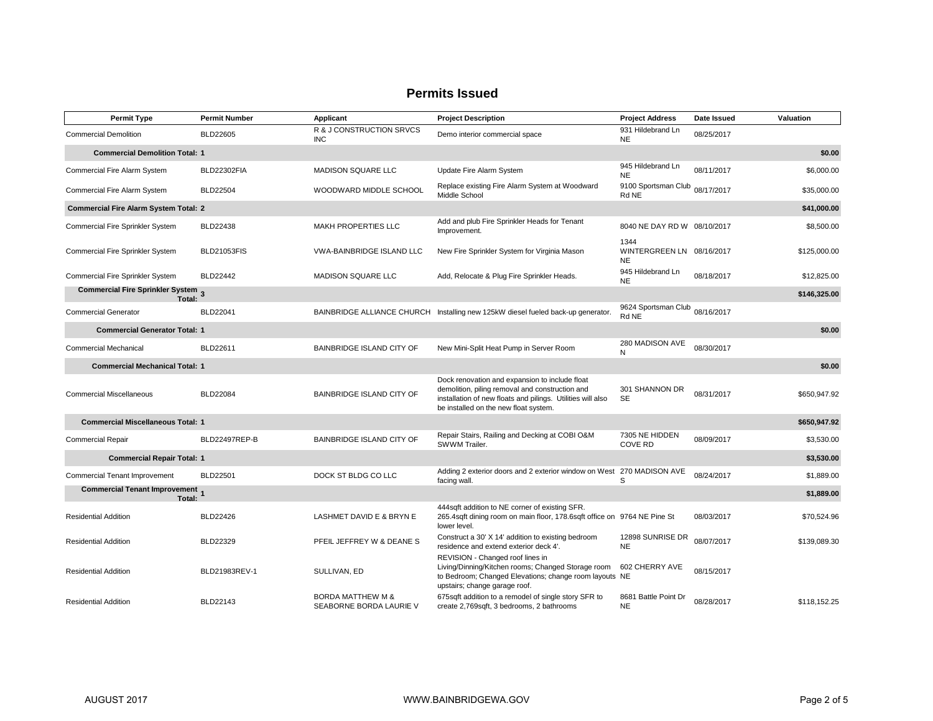## **Permits Issued**

| <b>Permit Type</b>                               | <b>Permit Number</b> | Applicant                                               | <b>Project Description</b>                                                                                                                                                                                | <b>Project Address</b>                         | Date Issued | Valuation    |
|--------------------------------------------------|----------------------|---------------------------------------------------------|-----------------------------------------------------------------------------------------------------------------------------------------------------------------------------------------------------------|------------------------------------------------|-------------|--------------|
| <b>Commercial Demolition</b>                     | <b>BLD22605</b>      | R & J CONSTRUCTION SRVCS<br><b>INC</b>                  | Demo interior commercial space                                                                                                                                                                            | 931 Hildebrand Ln<br><b>NE</b>                 | 08/25/2017  |              |
| <b>Commercial Demolition Total: 1</b>            |                      |                                                         |                                                                                                                                                                                                           |                                                |             | \$0.00       |
| <b>Commercial Fire Alarm System</b>              | <b>BLD22302FIA</b>   | <b>MADISON SQUARE LLC</b>                               | Update Fire Alarm System                                                                                                                                                                                  | 945 Hildebrand Ln<br><b>NE</b>                 | 08/11/2017  | \$6,000.00   |
| <b>Commercial Fire Alarm System</b>              | <b>BLD22504</b>      | WOODWARD MIDDLE SCHOOL                                  | Replace existing Fire Alarm System at Woodward<br>Middle School                                                                                                                                           | 9100 Sportsman Club 08/17/2017<br>Rd NE        |             | \$35,000.00  |
| <b>Commercial Fire Alarm System Total: 2</b>     |                      |                                                         |                                                                                                                                                                                                           |                                                |             | \$41,000.00  |
| Commercial Fire Sprinkler System                 | <b>BLD22438</b>      | <b>MAKH PROPERTIES LLC</b>                              | Add and plub Fire Sprinkler Heads for Tenant<br>Improvement.                                                                                                                                              | 8040 NE DAY RD W 08/10/2017                    |             | \$8,500.00   |
| Commercial Fire Sprinkler System                 | <b>BLD21053FIS</b>   | <b>VWA-BAINBRIDGE ISLAND LLC</b>                        | New Fire Sprinkler System for Virginia Mason                                                                                                                                                              | 1344<br>WINTERGREEN LN 08/16/2017<br><b>NE</b> |             | \$125,000.00 |
| Commercial Fire Sprinkler System                 | <b>BLD22442</b>      | <b>MADISON SQUARE LLC</b>                               | Add, Relocate & Plug Fire Sprinkler Heads.                                                                                                                                                                | 945 Hildebrand Ln<br><b>NE</b>                 | 08/18/2017  | \$12,825.00  |
| Commercial Fire Sprinkler System 3<br>Total:     |                      |                                                         |                                                                                                                                                                                                           |                                                |             | \$146,325.00 |
| <b>Commercial Generator</b>                      | <b>BLD22041</b>      |                                                         | BAINBRIDGE ALLIANCE CHURCH Installing new 125kW diesel fueled back-up generator.                                                                                                                          | 9624 Sportsman Club 08/16/2017<br>Rd NE        |             |              |
| <b>Commercial Generator Total: 1</b>             |                      |                                                         |                                                                                                                                                                                                           |                                                |             | \$0.00       |
| <b>Commercial Mechanical</b>                     | BLD22611             | <b>BAINBRIDGE ISLAND CITY OF</b>                        | New Mini-Split Heat Pump in Server Room                                                                                                                                                                   | 280 MADISON AVE<br>N                           | 08/30/2017  |              |
| <b>Commercial Mechanical Total: 1</b>            |                      |                                                         |                                                                                                                                                                                                           |                                                |             | \$0.00       |
| <b>Commercial Miscellaneous</b>                  | <b>BLD22084</b>      | <b>BAINBRIDGE ISLAND CITY OF</b>                        | Dock renovation and expansion to include float<br>demolition, piling removal and construction and<br>installation of new floats and pilings. Utilities will also<br>be installed on the new float system. | 301 SHANNON DR<br><b>SE</b>                    | 08/31/2017  | \$650,947.92 |
| <b>Commercial Miscellaneous Total: 1</b>         |                      |                                                         |                                                                                                                                                                                                           |                                                |             | \$650,947.92 |
| <b>Commercial Repair</b>                         | BLD22497REP-B        | <b>BAINBRIDGE ISLAND CITY OF</b>                        | Repair Stairs, Railing and Decking at COBI O&M<br>SWWM Trailer.                                                                                                                                           | 7305 NE HIDDEN<br><b>COVE RD</b>               | 08/09/2017  | \$3,530.00   |
| <b>Commercial Repair Total: 1</b>                |                      |                                                         |                                                                                                                                                                                                           |                                                |             | \$3,530.00   |
| <b>Commercial Tenant Improvement</b>             | <b>BLD22501</b>      | DOCK ST BLDG CO LLC                                     | Adding 2 exterior doors and 2 exterior window on West 270 MADISON AVE<br>facing wall.                                                                                                                     | S                                              | 08/24/2017  | \$1,889.00   |
| <b>Commercial Tenant Improvement</b> 1<br>Total: |                      |                                                         |                                                                                                                                                                                                           |                                                |             | \$1,889.00   |
| <b>Residential Addition</b>                      | <b>BLD22426</b>      | LASHMET DAVID E & BRYN E                                | 444sqft addition to NE corner of existing SFR.<br>265.4sqft dining room on main floor, 178.6sqft office on 9764 NE Pine St<br>lower level.                                                                |                                                | 08/03/2017  | \$70,524.96  |
| <b>Residential Addition</b>                      | <b>BLD22329</b>      | PFEIL JEFFREY W & DEANE S                               | Construct a 30' X 14' addition to existing bedroom<br>residence and extend exterior deck 4'.                                                                                                              | 12898 SUNRISE DR<br><b>NE</b>                  | 08/07/2017  | \$139,089.30 |
| <b>Residential Addition</b>                      | BLD21983REV-1        | SULLIVAN, ED                                            | REVISION - Changed roof lines in<br>Living/Dinning/Kitchen rooms; Changed Storage room<br>to Bedroom; Changed Elevations; change room layouts NE<br>upstairs; change garage roof.                         | 602 CHERRY AVE                                 | 08/15/2017  |              |
| <b>Residential Addition</b>                      | BLD22143             | <b>BORDA MATTHEW M &amp;</b><br>SEABORNE BORDA LAURIE V | 675sqft addition to a remodel of single story SFR to<br>create 2,769sqft, 3 bedrooms, 2 bathrooms                                                                                                         | 8681 Battle Point Dr<br><b>NE</b>              | 08/28/2017  | \$118.152.25 |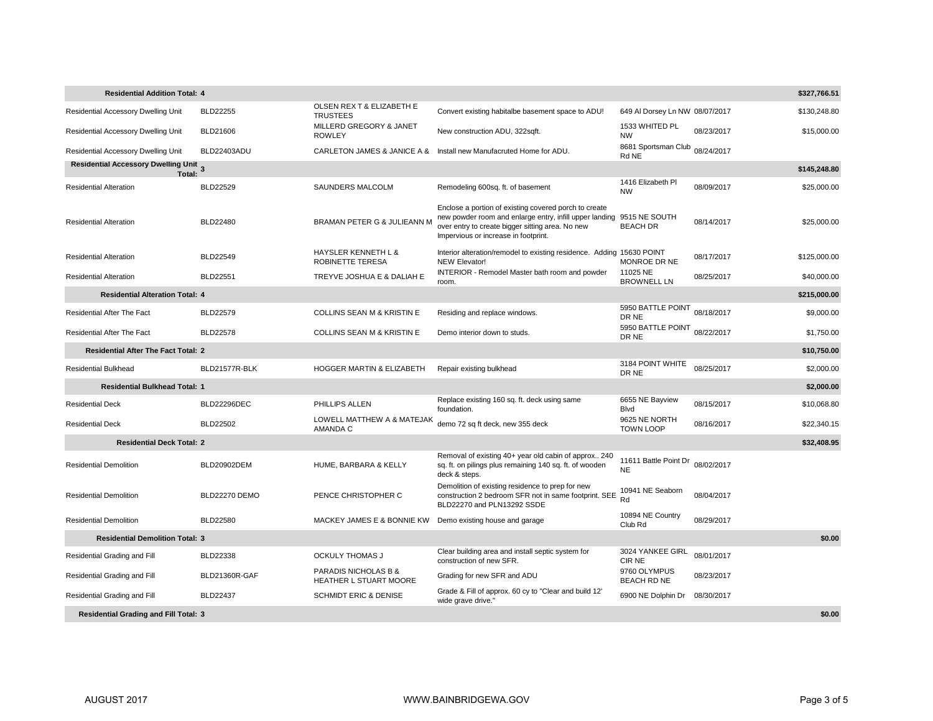| \$327,766.51<br><b>Residential Addition Total: 4</b>   |                    |                                                           |                                                                                                                                                                                                              |                                    |            |              |  |
|--------------------------------------------------------|--------------------|-----------------------------------------------------------|--------------------------------------------------------------------------------------------------------------------------------------------------------------------------------------------------------------|------------------------------------|------------|--------------|--|
| Residential Accessory Dwelling Unit                    | <b>BLD22255</b>    | OLSEN REX T & ELIZABETH E<br><b>TRUSTEES</b>              | Convert existing habitalbe basement space to ADU!                                                                                                                                                            | 649 Al Dorsey Ln NW 08/07/2017     |            | \$130,248.80 |  |
| <b>Residential Accessory Dwelling Unit</b>             | BLD21606           | MILLERD GREGORY & JANET<br><b>ROWLEY</b>                  | New construction ADU, 322sqft.                                                                                                                                                                               | 1533 WHITED PL<br><b>NW</b>        | 08/23/2017 | \$15,000.00  |  |
| Residential Accessory Dwelling Unit                    | BLD22403ADU        |                                                           | CARLETON JAMES & JANICE A & Install new Manufacruted Home for ADU.                                                                                                                                           | 8681 Sportsman Club<br>Rd NE       | 08/24/2017 |              |  |
| <b>Residential Accessory Dwelling Unit 3</b><br>Total: |                    |                                                           |                                                                                                                                                                                                              |                                    |            | \$145,248.80 |  |
| <b>Residential Alteration</b>                          | <b>BLD22529</b>    | SAUNDERS MALCOLM                                          | Remodeling 600sq. ft. of basement                                                                                                                                                                            | 1416 Elizabeth Pl<br><b>NW</b>     | 08/09/2017 | \$25,000.00  |  |
| <b>Residential Alteration</b>                          | <b>BLD22480</b>    | BRAMAN PETER G & JULIEANN M                               | Enclose a portion of existing covered porch to create<br>new powder room and enlarge entry, infill upper landing<br>over entry to create bigger sitting area. No new<br>Impervious or increase in footprint. | 9515 NE SOUTH<br><b>BEACH DR</b>   | 08/14/2017 | \$25,000.00  |  |
| <b>Residential Alteration</b>                          | BLD22549           | HAYSLER KENNETH L &<br>ROBINETTE TERESA                   | Interior alteration/remodel to existing residence. Adding 15630 POINT<br>NEW Elevator!                                                                                                                       | MONROE DR NE                       | 08/17/2017 | \$125,000.00 |  |
| <b>Residential Alteration</b>                          | <b>BLD22551</b>    | TREYVE JOSHUA E & DALIAH E                                | INTERIOR - Remodel Master bath room and powder<br>room.                                                                                                                                                      | 11025 NE<br><b>BROWNELL LN</b>     | 08/25/2017 | \$40,000.00  |  |
| <b>Residential Alteration Total: 4</b>                 |                    |                                                           |                                                                                                                                                                                                              |                                    |            | \$215,000.00 |  |
| <b>Residential After The Fact</b>                      | <b>BLD22579</b>    | <b>COLLINS SEAN M &amp; KRISTIN E</b>                     | Residing and replace windows.                                                                                                                                                                                | 5950 BATTLE POINT<br>DR NE         | 08/18/2017 | \$9,000.00   |  |
| <b>Residential After The Fact</b>                      | <b>BLD22578</b>    | <b>COLLINS SEAN M &amp; KRISTIN E</b>                     | Demo interior down to studs.                                                                                                                                                                                 | 5950 BATTLE POINT<br>DR NE         | 08/22/2017 | \$1,750.00   |  |
| <b>Residential After The Fact Total: 2</b>             |                    |                                                           |                                                                                                                                                                                                              |                                    |            | \$10,750.00  |  |
| <b>Residential Bulkhead</b>                            | BLD21577R-BLK      | HOGGER MARTIN & ELIZABETH                                 | Repair existing bulkhead                                                                                                                                                                                     | 3184 POINT WHITE<br>DR NE          | 08/25/2017 | \$2,000.00   |  |
| <b>Residential Bulkhead Total: 1</b>                   |                    |                                                           |                                                                                                                                                                                                              |                                    |            | \$2,000.00   |  |
| <b>Residential Deck</b>                                | <b>BLD22296DEC</b> | PHILLIPS ALLEN                                            | Replace existing 160 sq. ft. deck using same<br>foundation.                                                                                                                                                  | 6655 NE Bayview<br>Blvd            | 08/15/2017 | \$10,068.80  |  |
| <b>Residential Deck</b>                                | BLD22502           | LOWELL MATTHEW A & MATEJAK<br>AMANDA C                    | demo 72 sq ft deck, new 355 deck                                                                                                                                                                             | 9625 NE NORTH<br><b>TOWN LOOP</b>  | 08/16/2017 | \$22,340.15  |  |
| <b>Residential Deck Total: 2</b>                       |                    |                                                           |                                                                                                                                                                                                              |                                    |            | \$32,408.95  |  |
| <b>Residential Demolition</b>                          | <b>BLD20902DEM</b> | HUME, BARBARA & KELLY                                     | Removal of existing 40+ year old cabin of approx 240<br>sq. ft. on pilings plus remaining 140 sq. ft. of wooden<br>deck & steps.                                                                             | 11611 Battle Point Dr<br><b>NE</b> | 08/02/2017 |              |  |
| <b>Residential Demolition</b>                          | BLD22270 DEMO      | PENCE CHRISTOPHER C                                       | Demolition of existing residence to prep for new<br>construction 2 bedroom SFR not in same footprint. SEE<br>BLD22270 and PLN13292 SSDE                                                                      | 10941 NE Seaborn<br>Rd             | 08/04/2017 |              |  |
| <b>Residential Demolition</b>                          | <b>BLD22580</b>    | MACKEY JAMES E & BONNIE KW Demo existing house and garage |                                                                                                                                                                                                              | 10894 NE Country<br>Club Rd        | 08/29/2017 |              |  |
| \$0.00<br><b>Residential Demolition Total: 3</b>       |                    |                                                           |                                                                                                                                                                                                              |                                    |            |              |  |
| Residential Grading and Fill                           | <b>BLD22338</b>    | <b>OCKULY THOMAS J</b>                                    | Clear building area and install septic system for<br>construction of new SFR.                                                                                                                                | 3024 YANKEE GIRL<br><b>CIR NE</b>  | 08/01/2017 |              |  |
| Residential Grading and Fill                           | BLD21360R-GAF      | PARADIS NICHOLAS B &<br>HEATHER L STUART MOORE            | Grading for new SFR and ADU                                                                                                                                                                                  | 9760 OLYMPUS<br><b>BEACH RD NE</b> | 08/23/2017 |              |  |
| Residential Grading and Fill                           | <b>BLD22437</b>    | <b>SCHMIDT ERIC &amp; DENISE</b>                          | Grade & Fill of approx. 60 cy to "Clear and build 12"<br>wide grave drive."                                                                                                                                  | 6900 NE Dolphin Dr                 | 08/30/2017 |              |  |
| \$0.00<br><b>Residential Grading and Fill Total: 3</b> |                    |                                                           |                                                                                                                                                                                                              |                                    |            |              |  |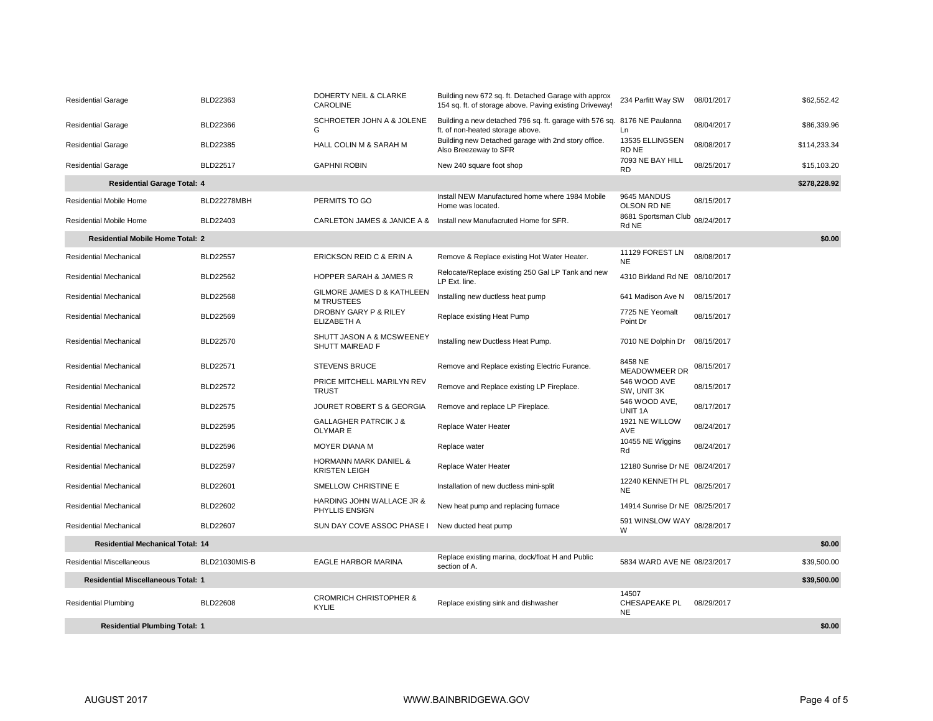| <b>Residential Garage</b>                                | BLD22363             | DOHERTY NEIL & CLARKE<br><b>CAROLINE</b>                 | Building new 672 sq. ft. Detached Garage with approx<br>154 sq. ft. of storage above. Paving existing Driveway! | 234 Parfitt Way SW                         | 08/01/2017 | \$62,552.42  |
|----------------------------------------------------------|----------------------|----------------------------------------------------------|-----------------------------------------------------------------------------------------------------------------|--------------------------------------------|------------|--------------|
| <b>Residential Garage</b>                                | <b>BLD22366</b>      | SCHROETER JOHN A & JOLENE<br>G                           | Building a new detached 796 sq. ft. garage with 576 sq. 8176 NE Paulanna<br>ft. of non-heated storage above.    | Ln                                         | 08/04/2017 | \$86,339.96  |
| <b>Residential Garage</b>                                | <b>BLD22385</b>      | HALL COLIN M & SARAH M                                   | Building new Detached garage with 2nd story office.<br>Also Breezeway to SFR                                    | 13535 ELLINGSEN<br>RD NE                   | 08/08/2017 | \$114,233.34 |
| <b>Residential Garage</b>                                | <b>BLD22517</b>      | <b>GAPHNI ROBIN</b>                                      | New 240 square foot shop                                                                                        | 7093 NE BAY HILL<br><b>RD</b>              | 08/25/2017 | \$15,103.20  |
| <b>Residential Garage Total: 4</b>                       |                      |                                                          |                                                                                                                 |                                            |            | \$278,228.92 |
| Residential Mobile Home                                  | BLD22278MBH          | PERMITS TO GO                                            | Install NEW Manufactured home where 1984 Mobile<br>Home was located.                                            | 9645 MANDUS<br>OLSON RD NE                 | 08/15/2017 |              |
| <b>Residential Mobile Home</b>                           | BLD22403             |                                                          | CARLETON JAMES & JANICE A & Install new Manufacruted Home for SFR.                                              | 8681 Sportsman Club<br>Rd NE               | 08/24/2017 |              |
| <b>Residential Mobile Home Total: 2</b>                  |                      |                                                          |                                                                                                                 |                                            |            | \$0.00       |
| Residential Mechanical                                   | <b>BLD22557</b>      | ERICKSON REID C & ERIN A                                 | Remove & Replace existing Hot Water Heater.                                                                     | 11129 FOREST LN<br><b>NE</b>               | 08/08/2017 |              |
| <b>Residential Mechanical</b>                            | <b>BLD22562</b>      | <b>HOPPER SARAH &amp; JAMES R</b>                        | Relocate/Replace existing 250 Gal LP Tank and new<br>LP Ext. line.                                              | 4310 Birkland Rd NE 08/10/2017             |            |              |
| Residential Mechanical                                   | <b>BLD22568</b>      | GILMORE JAMES D & KATHLEEN<br><b>M TRUSTEES</b>          | Installing new ductless heat pump                                                                               | 641 Madison Ave N                          | 08/15/2017 |              |
| Residential Mechanical                                   | <b>BLD22569</b>      | DROBNY GARY P & RILEY<br>ELIZABETH A                     | Replace existing Heat Pump                                                                                      | 7725 NE Yeomalt<br>Point Dr                | 08/15/2017 |              |
| Residential Mechanical                                   | <b>BLD22570</b>      | SHUTT JASON A & MCSWEENEY<br>SHUTT MAIREAD F             | Installing new Ductless Heat Pump.                                                                              | 7010 NE Dolphin Dr                         | 08/15/2017 |              |
| Residential Mechanical                                   | BLD22571             | <b>STEVENS BRUCE</b>                                     | Remove and Replace existing Electric Furance.                                                                   | 8458 NE<br><b>MEADOWMEER DR</b>            | 08/15/2017 |              |
| Residential Mechanical                                   | <b>BLD22572</b>      | PRICE MITCHELL MARILYN REV<br><b>TRUST</b>               | Remove and Replace existing LP Fireplace.                                                                       | 546 WOOD AVE<br>SW, UNIT 3K                | 08/15/2017 |              |
| Residential Mechanical                                   | <b>BLD22575</b>      | JOURET ROBERT S & GEORGIA                                | Remove and replace LP Fireplace.                                                                                | 546 WOOD AVE,<br>UNIT 1A                   | 08/17/2017 |              |
| Residential Mechanical                                   | <b>BLD22595</b>      | <b>GALLAGHER PATRCIK J &amp;</b><br><b>OLYMAR E</b>      | Replace Water Heater                                                                                            | 1921 NE WILLOW<br>AVE                      | 08/24/2017 |              |
| Residential Mechanical                                   | <b>BLD22596</b>      | <b>MOYER DIANA M</b>                                     | Replace water                                                                                                   | 10455 NE Wiggins<br>Rd                     | 08/24/2017 |              |
| <b>Residential Mechanical</b>                            | <b>BLD22597</b>      | <b>HORMANN MARK DANIEL &amp;</b><br><b>KRISTEN LEIGH</b> | Replace Water Heater                                                                                            | 12180 Sunrise Dr NE 08/24/2017             |            |              |
| <b>Residential Mechanical</b>                            | <b>BLD22601</b>      | SMELLOW CHRISTINE E                                      | Installation of new ductless mini-split                                                                         | 12240 KENNETH PL 08/25/2017<br><b>NE</b>   |            |              |
| Residential Mechanical                                   | BLD22602             | HARDING JOHN WALLACE JR &<br>PHYLLIS ENSIGN              | New heat pump and replacing furnace                                                                             | 14914 Sunrise Dr NE 08/25/2017             |            |              |
| <b>Residential Mechanical</b>                            | <b>BLD22607</b>      | SUN DAY COVE ASSOC PHASE I New ducted heat pump          |                                                                                                                 | 591 WINSLOW WAY 08/28/2017<br>W            |            |              |
| <b>Residential Mechanical Total: 14</b>                  |                      |                                                          |                                                                                                                 |                                            |            | \$0.00       |
| Residential Miscellaneous                                | <b>BLD21030MIS-B</b> | EAGLE HARBOR MARINA                                      | Replace existing marina, dock/float H and Public<br>section of A.                                               | 5834 WARD AVE NE 08/23/2017                |            | \$39,500.00  |
| <b>Residential Miscellaneous Total: 1</b><br>\$39,500.00 |                      |                                                          |                                                                                                                 |                                            |            |              |
| <b>Residential Plumbing</b>                              | <b>BLD22608</b>      | <b>CROMRICH CHRISTOPHER &amp;</b><br><b>KYLIE</b>        | Replace existing sink and dishwasher                                                                            | 14507<br><b>CHESAPEAKE PL</b><br><b>NE</b> | 08/29/2017 |              |
| <b>Residential Plumbing Total: 1</b>                     |                      |                                                          |                                                                                                                 |                                            |            | \$0.00       |